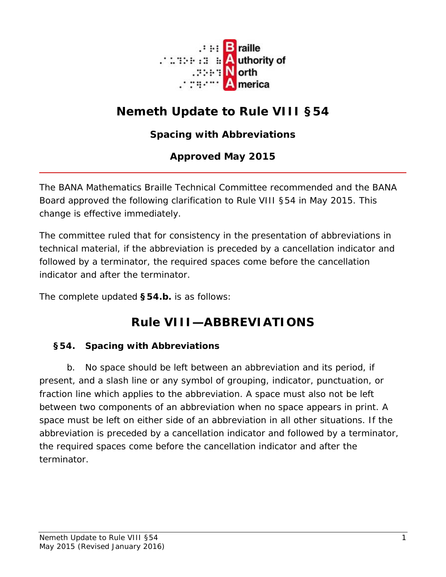

# **Nemeth Update to Rule VIII §54**

### **Spacing with Abbreviations**

#### **Approved May 2015**

The BANA Mathematics Braille Technical Committee recommended and the BANA Board approved the following clarification to Rule VIII §54 in May 2015. This change is effective immediately.

The committee ruled that for consistency in the presentation of abbreviations in technical material, if the abbreviation is preceded by a cancellation indicator and followed by a terminator, the required spaces come before the cancellation indicator and after the terminator.

The complete updated **§54.b.** is as follows:

## **Rule VIII—ABBREVIATIONS**

#### **§54. Spacing with Abbreviations**

b. No space should be left between an abbreviation and its period, if present, and a slash line or any symbol of grouping, indicator, punctuation, or fraction line which applies to the abbreviation. A space must also not be left between two components of an abbreviation when no space appears in print. A space must be left on either side of an abbreviation in all other situations. If the abbreviation is preceded by a cancellation indicator and followed by a terminator, the required spaces come before the cancellation indicator and after the terminator.